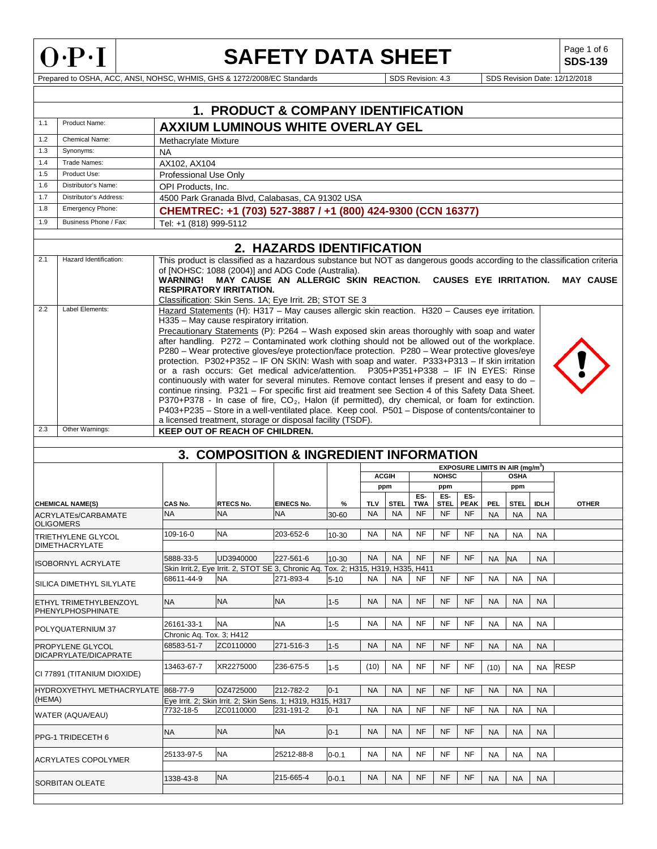

### **SAFETY DATA SHEET**

**SDS-139**

|        |                                                |                                        | 1. PRODUCT & COMPANY IDENTIFICATION                                                                                                                                                                                                                                                                                                                                                                                                                                                                                                                                                                                                                                                                                                                                                                                                                                                                                                                                                                                                                                                                               |                                |                     |                  |                          |                  |                   |                                             |                         |                          |                          |                                                                                                                                                                                                           |
|--------|------------------------------------------------|----------------------------------------|-------------------------------------------------------------------------------------------------------------------------------------------------------------------------------------------------------------------------------------------------------------------------------------------------------------------------------------------------------------------------------------------------------------------------------------------------------------------------------------------------------------------------------------------------------------------------------------------------------------------------------------------------------------------------------------------------------------------------------------------------------------------------------------------------------------------------------------------------------------------------------------------------------------------------------------------------------------------------------------------------------------------------------------------------------------------------------------------------------------------|--------------------------------|---------------------|------------------|--------------------------|------------------|-------------------|---------------------------------------------|-------------------------|--------------------------|--------------------------|-----------------------------------------------------------------------------------------------------------------------------------------------------------------------------------------------------------|
| 1.1    | Product Name:                                  |                                        | <b>AXXIUM LUMINOUS WHITE OVERLAY GEL</b>                                                                                                                                                                                                                                                                                                                                                                                                                                                                                                                                                                                                                                                                                                                                                                                                                                                                                                                                                                                                                                                                          |                                |                     |                  |                          |                  |                   |                                             |                         |                          |                          |                                                                                                                                                                                                           |
| 1.2    | Chemical Name:                                 | Methacrylate Mixture                   |                                                                                                                                                                                                                                                                                                                                                                                                                                                                                                                                                                                                                                                                                                                                                                                                                                                                                                                                                                                                                                                                                                                   |                                |                     |                  |                          |                  |                   |                                             |                         |                          |                          |                                                                                                                                                                                                           |
| 1.3    | Synonyms:                                      | NA                                     |                                                                                                                                                                                                                                                                                                                                                                                                                                                                                                                                                                                                                                                                                                                                                                                                                                                                                                                                                                                                                                                                                                                   |                                |                     |                  |                          |                  |                   |                                             |                         |                          |                          |                                                                                                                                                                                                           |
| 1.4    | Trade Names:                                   | AX102, AX104                           |                                                                                                                                                                                                                                                                                                                                                                                                                                                                                                                                                                                                                                                                                                                                                                                                                                                                                                                                                                                                                                                                                                                   |                                |                     |                  |                          |                  |                   |                                             |                         |                          |                          |                                                                                                                                                                                                           |
| 1.5    | Product Use:                                   | Professional Use Only                  |                                                                                                                                                                                                                                                                                                                                                                                                                                                                                                                                                                                                                                                                                                                                                                                                                                                                                                                                                                                                                                                                                                                   |                                |                     |                  |                          |                  |                   |                                             |                         |                          |                          |                                                                                                                                                                                                           |
| 1.6    | Distributor's Name:                            | OPI Products, Inc.                     |                                                                                                                                                                                                                                                                                                                                                                                                                                                                                                                                                                                                                                                                                                                                                                                                                                                                                                                                                                                                                                                                                                                   |                                |                     |                  |                          |                  |                   |                                             |                         |                          |                          |                                                                                                                                                                                                           |
| 1.7    | Distributor's Address:                         |                                        | 4500 Park Granada Blvd, Calabasas, CA 91302 USA                                                                                                                                                                                                                                                                                                                                                                                                                                                                                                                                                                                                                                                                                                                                                                                                                                                                                                                                                                                                                                                                   |                                |                     |                  |                          |                  |                   |                                             |                         |                          |                          |                                                                                                                                                                                                           |
| 1.8    | Emergency Phone:                               |                                        | CHEMTREC: +1 (703) 527-3887 / +1 (800) 424-9300 (CCN 16377)                                                                                                                                                                                                                                                                                                                                                                                                                                                                                                                                                                                                                                                                                                                                                                                                                                                                                                                                                                                                                                                       |                                |                     |                  |                          |                  |                   |                                             |                         |                          |                          |                                                                                                                                                                                                           |
| 1.9    | Business Phone / Fax:                          | Tel: +1 (818) 999-5112                 |                                                                                                                                                                                                                                                                                                                                                                                                                                                                                                                                                                                                                                                                                                                                                                                                                                                                                                                                                                                                                                                                                                                   |                                |                     |                  |                          |                  |                   |                                             |                         |                          |                          |                                                                                                                                                                                                           |
|        |                                                |                                        |                                                                                                                                                                                                                                                                                                                                                                                                                                                                                                                                                                                                                                                                                                                                                                                                                                                                                                                                                                                                                                                                                                                   |                                |                     |                  |                          |                  |                   |                                             |                         |                          |                          |                                                                                                                                                                                                           |
|        |                                                |                                        |                                                                                                                                                                                                                                                                                                                                                                                                                                                                                                                                                                                                                                                                                                                                                                                                                                                                                                                                                                                                                                                                                                                   | 2. HAZARDS IDENTIFICATION      |                     |                  |                          |                  |                   |                                             |                         |                          |                          |                                                                                                                                                                                                           |
| 2.1    | Hazard Identification:                         |                                        | of [NOHSC: 1088 (2004)] and ADG Code (Australia).<br><b>RESPIRATORY IRRITATION.</b><br>Classification: Skin Sens. 1A; Eye Irrit. 2B; STOT SE 3                                                                                                                                                                                                                                                                                                                                                                                                                                                                                                                                                                                                                                                                                                                                                                                                                                                                                                                                                                    |                                |                     |                  |                          |                  |                   |                                             |                         |                          |                          | This product is classified as a hazardous substance but NOT as dangerous goods according to the classification criteria<br>WARNING! MAY CAUSE AN ALLERGIC SKIN REACTION. CAUSES EYE IRRITATION. MAY CAUSE |
| 2.2    | Label Elements:                                |                                        | Hazard Statements (H): H317 - May causes allergic skin reaction. H320 - Causes eye irritation.<br>H335 - May cause respiratory irritation.<br>Precautionary Statements (P): P264 - Wash exposed skin areas thoroughly with soap and water<br>after handling. P272 - Contaminated work clothing should not be allowed out of the workplace.<br>P280 – Wear protective gloves/eye protection/face protection. P280 – Wear protective gloves/eye<br>protection. P302+P352 - IF ON SKIN: Wash with soap and water. P333+P313 - If skin irritation<br>or a rash occurs: Get medical advice/attention. P305+P351+P338 - IF IN EYES: Rinse<br>continuously with water for several minutes. Remove contact lenses if present and easy to do -<br>continue rinsing. P321 - For specific first aid treatment see Section 4 of this Safety Data Sheet.<br>P370+P378 - In case of fire, $CO2$ , Halon (if permitted), dry chemical, or foam for extinction.<br>P403+P235 - Store in a well-ventilated place. Keep cool. P501 - Dispose of contents/container to<br>a licensed treatment, storage or disposal facility (TSDF). |                                |                     |                  |                          |                  |                   |                                             |                         |                          |                          |                                                                                                                                                                                                           |
| 2.3    | Other Warnings:                                |                                        | <b>KEEP OUT OF REACH OF CHILDREN.</b>                                                                                                                                                                                                                                                                                                                                                                                                                                                                                                                                                                                                                                                                                                                                                                                                                                                                                                                                                                                                                                                                             |                                |                     |                  |                          |                  |                   |                                             |                         |                          |                          |                                                                                                                                                                                                           |
|        |                                                |                                        |                                                                                                                                                                                                                                                                                                                                                                                                                                                                                                                                                                                                                                                                                                                                                                                                                                                                                                                                                                                                                                                                                                                   |                                |                     |                  |                          |                  |                   |                                             |                         |                          |                          |                                                                                                                                                                                                           |
|        |                                                |                                        |                                                                                                                                                                                                                                                                                                                                                                                                                                                                                                                                                                                                                                                                                                                                                                                                                                                                                                                                                                                                                                                                                                                   |                                |                     |                  |                          |                  |                   |                                             |                         |                          |                          |                                                                                                                                                                                                           |
|        |                                                |                                        |                                                                                                                                                                                                                                                                                                                                                                                                                                                                                                                                                                                                                                                                                                                                                                                                                                                                                                                                                                                                                                                                                                                   |                                |                     |                  |                          |                  |                   |                                             |                         |                          |                          |                                                                                                                                                                                                           |
|        |                                                |                                        | 3. COMPOSITION & INGREDIENT INFORMATION                                                                                                                                                                                                                                                                                                                                                                                                                                                                                                                                                                                                                                                                                                                                                                                                                                                                                                                                                                                                                                                                           |                                |                     |                  |                          |                  |                   |                                             |                         |                          |                          |                                                                                                                                                                                                           |
|        |                                                |                                        |                                                                                                                                                                                                                                                                                                                                                                                                                                                                                                                                                                                                                                                                                                                                                                                                                                                                                                                                                                                                                                                                                                                   |                                |                     |                  | <b>ACGIH</b>             |                  | <b>NOHSC</b>      | EXPOSURE LIMITS IN AIR (mg/m <sup>3</sup> ) |                         | <b>OSHA</b>              |                          |                                                                                                                                                                                                           |
|        |                                                |                                        |                                                                                                                                                                                                                                                                                                                                                                                                                                                                                                                                                                                                                                                                                                                                                                                                                                                                                                                                                                                                                                                                                                                   |                                |                     |                  | ppm                      | ES-              | ppm<br>ES-        | ES-                                         |                         | ppm                      |                          |                                                                                                                                                                                                           |
|        | <b>CHEMICAL NAME(S)</b><br>ACRYLATEs/CARBAMATE | CAS No.<br><b>NA</b>                   | RTECS No.<br><b>NA</b>                                                                                                                                                                                                                                                                                                                                                                                                                                                                                                                                                                                                                                                                                                                                                                                                                                                                                                                                                                                                                                                                                            | <b>EINECS No.</b><br><b>NA</b> | %<br>30-60          | TLV<br><b>NA</b> | <b>STEL</b><br><b>NA</b> | TWA<br><b>NF</b> | STEL<br><b>NF</b> | <b>PEAK</b><br><b>NF</b>                    | <b>PEL</b><br><b>NA</b> | <b>STEL</b><br><b>NA</b> | <b>IDLH</b><br><b>NA</b> | <b>OTHER</b>                                                                                                                                                                                              |
|        | <b>OLIGOMERS</b>                               |                                        |                                                                                                                                                                                                                                                                                                                                                                                                                                                                                                                                                                                                                                                                                                                                                                                                                                                                                                                                                                                                                                                                                                                   |                                |                     |                  |                          |                  |                   |                                             |                         |                          |                          |                                                                                                                                                                                                           |
|        | <b>TRIETHYLENE GLYCOL</b>                      | 109-16-0                               | <b>NA</b>                                                                                                                                                                                                                                                                                                                                                                                                                                                                                                                                                                                                                                                                                                                                                                                                                                                                                                                                                                                                                                                                                                         | 203-652-6                      | 10-30               | NA               | NA                       | NF               | NF                | NF                                          | <b>NA</b>               | NA                       | <b>NA</b>                |                                                                                                                                                                                                           |
|        | <b>DIMETHACRYLATE</b>                          |                                        |                                                                                                                                                                                                                                                                                                                                                                                                                                                                                                                                                                                                                                                                                                                                                                                                                                                                                                                                                                                                                                                                                                                   |                                |                     |                  |                          |                  |                   |                                             |                         |                          |                          |                                                                                                                                                                                                           |
|        | <b>ISOBORNYL ACRYLATE</b>                      | 5888-33-5                              | UD3940000                                                                                                                                                                                                                                                                                                                                                                                                                                                                                                                                                                                                                                                                                                                                                                                                                                                                                                                                                                                                                                                                                                         | 227-561-6                      | $10 - 30$           | <b>NA</b>        | <b>NA</b>                | <b>NF</b>        | <b>NF</b>         | <b>NF</b>                                   | <b>NA</b>               | <b>NA</b>                | <b>NA</b>                |                                                                                                                                                                                                           |
|        |                                                |                                        | Skin Irrit.2, Eye Irrit. 2, STOT SE 3, Chronic Aq. Tox. 2; H315, H319, H335, H411                                                                                                                                                                                                                                                                                                                                                                                                                                                                                                                                                                                                                                                                                                                                                                                                                                                                                                                                                                                                                                 |                                |                     |                  |                          |                  |                   |                                             |                         |                          |                          |                                                                                                                                                                                                           |
|        | SILICA DIMETHYL SILYLATE                       |                                        | 68611-44-9 NA                                                                                                                                                                                                                                                                                                                                                                                                                                                                                                                                                                                                                                                                                                                                                                                                                                                                                                                                                                                                                                                                                                     | 271-893-4                      | 5-10   NA   NA   NF |                  |                          |                  | NF                | <b>NF</b>                                   |                         | NA NA                    | <b>NA</b>                |                                                                                                                                                                                                           |
|        | ETHYL TRIMETHYLBENZOYL                         | NA                                     | <b>NA</b>                                                                                                                                                                                                                                                                                                                                                                                                                                                                                                                                                                                                                                                                                                                                                                                                                                                                                                                                                                                                                                                                                                         | <b>NA</b>                      | $1 - 5$             | <b>NA</b>        | <b>NA</b>                | <b>NF</b>        | <b>NF</b>         | NF                                          | NA                      | <b>NA</b>                | <b>NA</b>                |                                                                                                                                                                                                           |
|        | PHENYLPHOSPHINATE                              |                                        |                                                                                                                                                                                                                                                                                                                                                                                                                                                                                                                                                                                                                                                                                                                                                                                                                                                                                                                                                                                                                                                                                                                   |                                |                     |                  |                          |                  |                   |                                             |                         |                          |                          |                                                                                                                                                                                                           |
|        | POLYQUATERNIUM 37                              | 26161-33-1                             | <b>NA</b>                                                                                                                                                                                                                                                                                                                                                                                                                                                                                                                                                                                                                                                                                                                                                                                                                                                                                                                                                                                                                                                                                                         | <b>NA</b>                      | $1 - 5$             | <b>NA</b>        | NA                       | <b>NF</b>        | <b>NF</b>         | NF                                          | <b>NA</b>               | <b>NA</b>                | <b>NA</b>                |                                                                                                                                                                                                           |
|        | PROPYLENE GLYCOL                               | Chronic Aq. Tox. 3; H412<br>68583-51-7 | ZC0110000                                                                                                                                                                                                                                                                                                                                                                                                                                                                                                                                                                                                                                                                                                                                                                                                                                                                                                                                                                                                                                                                                                         | 271-516-3                      | $1 - 5$             | <b>NA</b>        | <b>NA</b>                | NF               | NF                | NF                                          | <b>NA</b>               | <b>NA</b>                | <b>NA</b>                |                                                                                                                                                                                                           |
|        | DICAPRYLATE/DICAPRATE                          |                                        |                                                                                                                                                                                                                                                                                                                                                                                                                                                                                                                                                                                                                                                                                                                                                                                                                                                                                                                                                                                                                                                                                                                   |                                |                     |                  |                          |                  |                   |                                             |                         |                          |                          |                                                                                                                                                                                                           |
|        | CI 77891 (TITANIUM DIOXIDE)                    | 13463-67-7                             | XR2275000                                                                                                                                                                                                                                                                                                                                                                                                                                                                                                                                                                                                                                                                                                                                                                                                                                                                                                                                                                                                                                                                                                         | 236-675-5                      | $1 - 5$             | (10)             | NA                       | <b>NF</b>        | NF                | NF                                          | (10)                    | NA                       | <b>NA</b>                | <b>RESP</b>                                                                                                                                                                                               |
|        |                                                |                                        |                                                                                                                                                                                                                                                                                                                                                                                                                                                                                                                                                                                                                                                                                                                                                                                                                                                                                                                                                                                                                                                                                                                   |                                |                     |                  |                          |                  |                   |                                             |                         |                          |                          |                                                                                                                                                                                                           |
| (HEMA) | HYDROXYETHYL METHACRYLATE                      | 868-77-9                               | OZ4725000<br>Eye Irrit. 2; Skin Irrit. 2; Skin Sens. 1; H319, H315, H317                                                                                                                                                                                                                                                                                                                                                                                                                                                                                                                                                                                                                                                                                                                                                                                                                                                                                                                                                                                                                                          | 212-782-2                      | $0 - 1$             | <b>NA</b>        | <b>NA</b>                | <b>NF</b>        | <b>NF</b>         | <b>NF</b>                                   | <b>NA</b>               | <b>NA</b>                | <b>NA</b>                |                                                                                                                                                                                                           |
|        |                                                | 7732-18-5                              | ZC0110000                                                                                                                                                                                                                                                                                                                                                                                                                                                                                                                                                                                                                                                                                                                                                                                                                                                                                                                                                                                                                                                                                                         | 231-191-2                      | $0 - 1$             | <b>NA</b>        | <b>NA</b>                | <b>NF</b>        | NF                | <b>NF</b>                                   | <b>NA</b>               | <b>NA</b>                | <b>NA</b>                |                                                                                                                                                                                                           |
|        | WATER (AQUA/EAU)                               |                                        |                                                                                                                                                                                                                                                                                                                                                                                                                                                                                                                                                                                                                                                                                                                                                                                                                                                                                                                                                                                                                                                                                                                   |                                |                     |                  |                          |                  |                   |                                             |                         |                          |                          |                                                                                                                                                                                                           |
|        |                                                | <b>NA</b>                              | <b>NA</b>                                                                                                                                                                                                                                                                                                                                                                                                                                                                                                                                                                                                                                                                                                                                                                                                                                                                                                                                                                                                                                                                                                         | <b>NA</b>                      | $0 - 1$             | <b>NA</b>        | <b>NA</b>                | NF               | NF                | NF                                          | <b>NA</b>               | <b>NA</b>                | <b>NA</b>                |                                                                                                                                                                                                           |
|        | PPG-1 TRIDECETH 6                              |                                        |                                                                                                                                                                                                                                                                                                                                                                                                                                                                                                                                                                                                                                                                                                                                                                                                                                                                                                                                                                                                                                                                                                                   |                                |                     |                  |                          |                  |                   |                                             |                         |                          |                          |                                                                                                                                                                                                           |
|        | <b>ACRYLATES COPOLYMER</b>                     | 25133-97-5                             | <b>NA</b>                                                                                                                                                                                                                                                                                                                                                                                                                                                                                                                                                                                                                                                                                                                                                                                                                                                                                                                                                                                                                                                                                                         | 25212-88-8                     | $0 - 0.1$           | <b>NA</b>        | NA                       | NF               | NF                | NF                                          | <b>NA</b>               | <b>NA</b>                | NA                       |                                                                                                                                                                                                           |
|        | SORBITAN OLEATE                                | 1338-43-8                              | <b>NA</b>                                                                                                                                                                                                                                                                                                                                                                                                                                                                                                                                                                                                                                                                                                                                                                                                                                                                                                                                                                                                                                                                                                         | 215-665-4                      | $0 - 0.1$           | <b>NA</b>        | NA                       | <b>NF</b>        | <b>NF</b>         | <b>NF</b>                                   | <b>NA</b>               | <b>NA</b>                | <b>NA</b>                |                                                                                                                                                                                                           |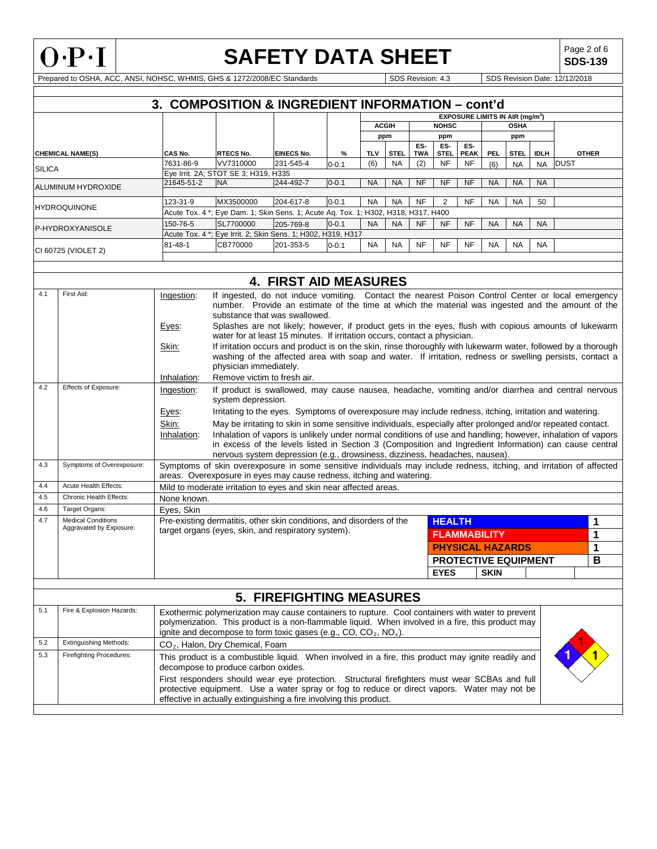

# **SAFETY DATA SHEET**  $\left|\begin{array}{c} \text{Page 2 of 6} \\ \text{SDS-139} \end{array}\right|$

**SDS-139**

Prepared to OSHA, ACC, ANSI, NOHSC, WHMIS, GHS & 1272/2008/EC Standards SDS Revision: 4.3 SDS Revision Date: 12/12/2018

|                         | 3. COMPOSITION & INGREDIENT INFORMATION - cont'd |                                                                                    |                   |           |              |             |              |             |                    |             |           |             |              |
|-------------------------|--------------------------------------------------|------------------------------------------------------------------------------------|-------------------|-----------|--------------|-------------|--------------|-------------|--------------------|-------------|-----------|-------------|--------------|
|                         |                                                  | <b>EXPOSURE LIMITS IN AIR (mg/m<sup>3</sup>)</b>                                   |                   |           |              |             |              |             |                    |             |           |             |              |
|                         |                                                  |                                                                                    |                   |           | <b>ACGIH</b> |             | <b>NOHSC</b> |             |                    | <b>OSHA</b> |           |             |              |
|                         |                                                  |                                                                                    |                   |           |              | ppm         |              | ppm         |                    |             | ppm       |             |              |
| <b>CHEMICAL NAME(S)</b> | CAS No.                                          | <b>RTECS No.</b>                                                                   | <b>EINECS No.</b> | %         | <b>TLV</b>   | <b>STEL</b> | ES-<br>TWA   | ES-<br>STEL | ES-<br><b>PEAK</b> | PEL         | STEL      | <b>IDLH</b> | <b>OTHER</b> |
| <b>SILICA</b>           | 7631-86-9                                        | VV7310000                                                                          | 231-545-4         | $0 - 0.1$ | (6)          | NA.         | (2)          | <b>NF</b>   | <b>NF</b>          | (6)         | <b>NA</b> | NA.         | <b>DUST</b>  |
|                         |                                                  | Eve Irrit. 2A: STOT SE 3: H319. H335                                               |                   |           |              |             |              |             |                    |             |           |             |              |
| ALUMINUM HYDROXIDE      | 21645-51-2                                       | <b>NA</b>                                                                          | 244-492-7         | $0 - 0.1$ | <b>NA</b>    | <b>NA</b>   | <b>NF</b>    | <b>NF</b>   | <b>NF</b>          | <b>NA</b>   | <b>NA</b> | <b>NA</b>   |              |
|                         |                                                  |                                                                                    |                   |           |              |             |              |             |                    |             |           |             |              |
|                         | 123-31-9                                         | MX3500000                                                                          | 204-617-8         | $0 - 0.1$ | NA           | <b>NA</b>   | <b>NF</b>    | 2           | <b>NF</b>          | <b>NA</b>   | <b>NA</b> | 50          |              |
| <b>IHYDROQUINONE</b>    |                                                  | Acute Tox. 4 *; Eye Dam. 1; Skin Sens. 1; Acute Ag. Tox. 1; H302, H318, H317, H400 |                   |           |              |             |              |             |                    |             |           |             |              |
| <b>P-HYDROXYANISOLE</b> | 150-76-5                                         | SL7700000                                                                          | 205-769-8         | $0 - 0.1$ | <b>NA</b>    | <b>NA</b>   | <b>NF</b>    | <b>NF</b>   | <b>NF</b>          | <b>NA</b>   | <b>NA</b> | <b>NA</b>   |              |
|                         |                                                  | Acute Tox. 4 *; Eye Irrit. 2; Skin Sens. 1; H302, H319, H317                       |                   |           |              |             |              |             |                    |             |           |             |              |
| CI 60725 (VIOLET 2)     | $81 - 48 - 1$                                    | CB770000                                                                           | 201-353-5         | $0 - 0.1$ | <b>NA</b>    | <b>NA</b>   | <b>NF</b>    | <b>NF</b>   | <b>NF</b>          | <b>NA</b>   | <b>NA</b> | <b>NA</b>   |              |
|                         |                                                  |                                                                                    |                   |           |              |             |              |             |                    |             |           |             |              |

|     |                                                      |                                                                                                                                                                                                                                                              | <b>4. FIRST AID MEASURES</b>                                                                                                                                                                                                                                                               |                             |                         |   |  |   |  |  |
|-----|------------------------------------------------------|--------------------------------------------------------------------------------------------------------------------------------------------------------------------------------------------------------------------------------------------------------------|--------------------------------------------------------------------------------------------------------------------------------------------------------------------------------------------------------------------------------------------------------------------------------------------|-----------------------------|-------------------------|---|--|---|--|--|
| 4.1 | First Aid:                                           | If ingested, do not induce vomiting. Contact the nearest Poison Control Center or local emergency<br>Ingestion:<br>number. Provide an estimate of the time at which the material was ingested and the amount of the<br>substance that was swallowed.         |                                                                                                                                                                                                                                                                                            |                             |                         |   |  |   |  |  |
|     |                                                      | Eyes:                                                                                                                                                                                                                                                        | Splashes are not likely; however, if product gets in the eyes, flush with copious amounts of lukewarm<br>water for at least 15 minutes. If irritation occurs, contact a physician.                                                                                                         |                             |                         |   |  |   |  |  |
|     |                                                      | If irritation occurs and product is on the skin, rinse thoroughly with lukewarm water, followed by a thorough<br>Skin:<br>washing of the affected area with soap and water. If irritation, redness or swelling persists, contact a<br>physician immediately. |                                                                                                                                                                                                                                                                                            |                             |                         |   |  |   |  |  |
|     |                                                      | Inhalation:                                                                                                                                                                                                                                                  | Remove victim to fresh air.                                                                                                                                                                                                                                                                |                             |                         |   |  |   |  |  |
| 4.2 | Effects of Exposure:                                 | If product is swallowed, may cause nausea, headache, vomiting and/or diarrhea and central nervous<br>Ingestion:<br>system depression.                                                                                                                        |                                                                                                                                                                                                                                                                                            |                             |                         |   |  |   |  |  |
|     |                                                      | Eyes:                                                                                                                                                                                                                                                        | Irritating to the eyes. Symptoms of overexposure may include redness, itching, irritation and watering.                                                                                                                                                                                    |                             |                         |   |  |   |  |  |
|     |                                                      | Skin:                                                                                                                                                                                                                                                        | May be irritating to skin in some sensitive individuals, especially after prolonged and/or repeated contact.                                                                                                                                                                               |                             |                         |   |  |   |  |  |
|     |                                                      | Inhalation:                                                                                                                                                                                                                                                  | Inhalation of vapors is unlikely under normal conditions of use and handling; however, inhalation of vapors                                                                                                                                                                                |                             |                         |   |  |   |  |  |
|     |                                                      | in excess of the levels listed in Section 3 (Composition and Ingredient Information) can cause central                                                                                                                                                       |                                                                                                                                                                                                                                                                                            |                             |                         |   |  |   |  |  |
|     |                                                      |                                                                                                                                                                                                                                                              | nervous system depression (e.g., drowsiness, dizziness, headaches, nausea).                                                                                                                                                                                                                |                             |                         |   |  |   |  |  |
| 4.3 | Symptoms of Overexposure:                            |                                                                                                                                                                                                                                                              | Symptoms of skin overexposure in some sensitive individuals may include redness, itching, and irritation of affected<br>areas. Overexposure in eyes may cause redness, itching and watering.                                                                                               |                             |                         |   |  |   |  |  |
| 4.4 | <b>Acute Health Effects:</b>                         |                                                                                                                                                                                                                                                              | Mild to moderate irritation to eyes and skin near affected areas.                                                                                                                                                                                                                          |                             |                         |   |  |   |  |  |
| 4.5 | Chronic Health Effects:                              | None known.                                                                                                                                                                                                                                                  |                                                                                                                                                                                                                                                                                            |                             |                         |   |  |   |  |  |
| 4.6 | Target Organs:                                       | Eyes, Skin                                                                                                                                                                                                                                                   |                                                                                                                                                                                                                                                                                            |                             |                         |   |  |   |  |  |
| 4.7 | <b>Medical Conditions</b><br>Aggravated by Exposure: |                                                                                                                                                                                                                                                              | Pre-existing dermatitis, other skin conditions, and disorders of the                                                                                                                                                                                                                       | <b>HEALTH</b>               |                         |   |  | 1 |  |  |
|     |                                                      |                                                                                                                                                                                                                                                              | target organs (eyes, skin, and respiratory system).                                                                                                                                                                                                                                        | <b>FLAMMABILITY</b>         |                         | 1 |  |   |  |  |
|     |                                                      |                                                                                                                                                                                                                                                              |                                                                                                                                                                                                                                                                                            |                             | <b>PHYSICAL HAZARDS</b> |   |  | 1 |  |  |
|     |                                                      |                                                                                                                                                                                                                                                              |                                                                                                                                                                                                                                                                                            | <b>PROTECTIVE EQUIPMENT</b> |                         |   |  | B |  |  |
|     |                                                      |                                                                                                                                                                                                                                                              |                                                                                                                                                                                                                                                                                            | <b>EYES</b>                 | <b>SKIN</b>             |   |  |   |  |  |
|     |                                                      |                                                                                                                                                                                                                                                              |                                                                                                                                                                                                                                                                                            |                             |                         |   |  |   |  |  |
|     |                                                      |                                                                                                                                                                                                                                                              | <b>5. FIREFIGHTING MEASURES</b>                                                                                                                                                                                                                                                            |                             |                         |   |  |   |  |  |
| 5.1 | Fire & Explosion Hazards:                            |                                                                                                                                                                                                                                                              | Exothermic polymerization may cause containers to rupture. Cool containers with water to prevent<br>polymerization. This product is a non-flammable liquid. When involved in a fire, this product may<br>ignite and decompose to form toxic gases (e.g., $CO$ , $CO2$ , NO <sub>x</sub> ). |                             |                         |   |  |   |  |  |
| 5.2 | <b>Extinguishing Methods:</b>                        |                                                                                                                                                                                                                                                              | CO <sub>2</sub> , Halon, Dry Chemical, Foam                                                                                                                                                                                                                                                |                             |                         |   |  |   |  |  |
| 5.3 | <b>Firefighting Procedures:</b>                      |                                                                                                                                                                                                                                                              | This product is a combustible liquid. When involved in a fire, this product may ignite readily and<br>decompose to produce carbon oxides.                                                                                                                                                  |                             |                         |   |  |   |  |  |
|     |                                                      |                                                                                                                                                                                                                                                              | First responders should wear eye protection. Structural firefighters must wear SCBAs and full                                                                                                                                                                                              |                             |                         |   |  |   |  |  |

protective equipment. Use a water spray or fog to reduce or direct vapors. Water may not be

effective in actually extinguishing a fire involving this product.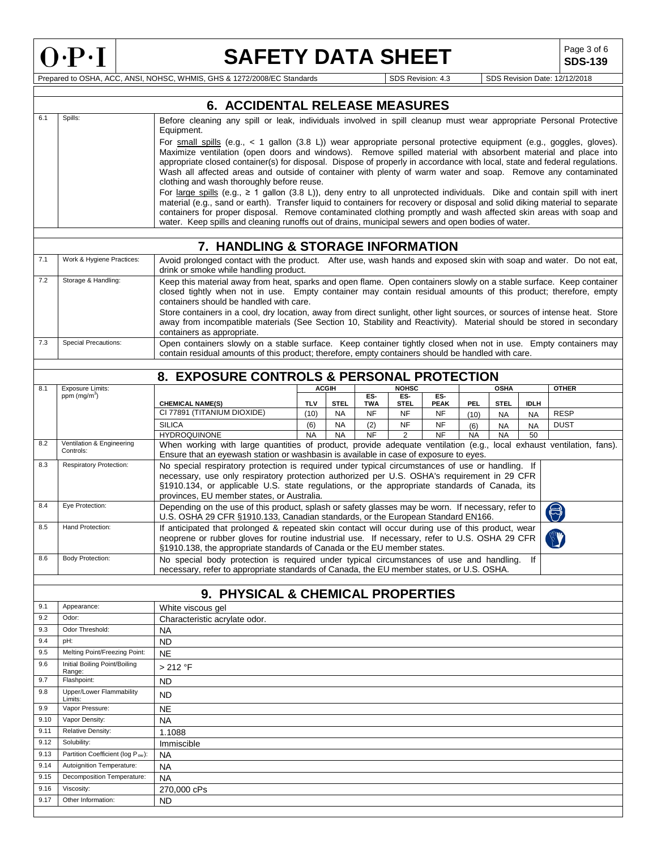### **SAFETY DATA SHEET**

**SDS-139**

|            |                                              | <b>6. ACCIDENTAL RELEASE MEASURES</b>                                                                                                                                                                                                                                                                                                                                              |                                                                                                                                                                                                                                                                                                                                                                                                                                                                                        |                          |                         |                          |                          |             |                        |                 |              |
|------------|----------------------------------------------|------------------------------------------------------------------------------------------------------------------------------------------------------------------------------------------------------------------------------------------------------------------------------------------------------------------------------------------------------------------------------------|----------------------------------------------------------------------------------------------------------------------------------------------------------------------------------------------------------------------------------------------------------------------------------------------------------------------------------------------------------------------------------------------------------------------------------------------------------------------------------------|--------------------------|-------------------------|--------------------------|--------------------------|-------------|------------------------|-----------------|--------------|
| 6.1        | Spills:                                      | Before cleaning any spill or leak, individuals involved in spill cleanup must wear appropriate Personal Protective<br>Equipment.                                                                                                                                                                                                                                                   |                                                                                                                                                                                                                                                                                                                                                                                                                                                                                        |                          |                         |                          |                          |             |                        |                 |              |
|            |                                              | clothing and wash thoroughly before reuse.                                                                                                                                                                                                                                                                                                                                         | For small spills (e.g., $\lt 1$ gallon (3.8 L)) wear appropriate personal protective equipment (e.g., goggles, gloves).<br>Maximize ventilation (open doors and windows). Remove spilled material with absorbent material and place into<br>appropriate closed container(s) for disposal. Dispose of properly in accordance with local, state and federal regulations.<br>Wash all affected areas and outside of container with plenty of warm water and soap. Remove any contaminated |                          |                         |                          |                          |             |                        |                 |              |
|            |                                              | For large spills (e.g., $\geq 1$ gallon (3.8 L)), deny entry to all unprotected individuals. Dike and contain spill with inert<br>material (e.g., sand or earth). Transfer liquid to containers for recovery or disposal and solid diking material to separate<br>containers for proper disposal. Remove contaminated clothing promptly and wash affected skin areas with soap and |                                                                                                                                                                                                                                                                                                                                                                                                                                                                                        |                          |                         |                          |                          |             |                        |                 |              |
|            |                                              | water. Keep spills and cleaning runoffs out of drains, municipal sewers and open bodies of water.                                                                                                                                                                                                                                                                                  |                                                                                                                                                                                                                                                                                                                                                                                                                                                                                        |                          |                         |                          |                          |             |                        |                 |              |
|            |                                              |                                                                                                                                                                                                                                                                                                                                                                                    |                                                                                                                                                                                                                                                                                                                                                                                                                                                                                        |                          |                         |                          |                          |             |                        |                 |              |
|            |                                              | 7. HANDLING & STORAGE INFORMATION                                                                                                                                                                                                                                                                                                                                                  |                                                                                                                                                                                                                                                                                                                                                                                                                                                                                        |                          |                         |                          |                          |             |                        |                 |              |
| 7.1        | Work & Hygiene Practices:                    | Avoid prolonged contact with the product. After use, wash hands and exposed skin with soap and water. Do not eat,<br>drink or smoke while handling product.                                                                                                                                                                                                                        |                                                                                                                                                                                                                                                                                                                                                                                                                                                                                        |                          |                         |                          |                          |             |                        |                 |              |
| 7.2        | Storage & Handling:                          | Keep this material away from heat, sparks and open flame. Open containers slowly on a stable surface. Keep container<br>closed tightly when not in use. Empty container may contain residual amounts of this product; therefore, empty<br>containers should be handled with care.                                                                                                  |                                                                                                                                                                                                                                                                                                                                                                                                                                                                                        |                          |                         |                          |                          |             |                        |                 |              |
|            |                                              | Store containers in a cool, dry location, away from direct sunlight, other light sources, or sources of intense heat. Store<br>away from incompatible materials (See Section 10, Stability and Reactivity). Material should be stored in secondary                                                                                                                                 |                                                                                                                                                                                                                                                                                                                                                                                                                                                                                        |                          |                         |                          |                          |             |                        |                 |              |
| 7.3        | <b>Special Precautions:</b>                  | containers as appropriate.<br>Open containers slowly on a stable surface. Keep container tightly closed when not in use. Empty containers may                                                                                                                                                                                                                                      |                                                                                                                                                                                                                                                                                                                                                                                                                                                                                        |                          |                         |                          |                          |             |                        |                 |              |
|            |                                              | contain residual amounts of this product; therefore, empty containers should be handled with care.                                                                                                                                                                                                                                                                                 |                                                                                                                                                                                                                                                                                                                                                                                                                                                                                        |                          |                         |                          |                          |             |                        |                 |              |
|            |                                              |                                                                                                                                                                                                                                                                                                                                                                                    |                                                                                                                                                                                                                                                                                                                                                                                                                                                                                        |                          |                         |                          |                          |             |                        |                 |              |
|            |                                              | 8. EXPOSURE CONTROLS & PERSONAL PROTECTION                                                                                                                                                                                                                                                                                                                                         |                                                                                                                                                                                                                                                                                                                                                                                                                                                                                        |                          |                         |                          |                          |             |                        |                 |              |
| 8.1        | Exposure Limits:<br>ppm (mg/m <sup>3</sup> ) |                                                                                                                                                                                                                                                                                                                                                                                    |                                                                                                                                                                                                                                                                                                                                                                                                                                                                                        | <b>ACGIH</b>             | ES-                     | <b>NOHSC</b><br>ES-      | ES-                      |             | <b>OSHA</b>            |                 | <b>OTHER</b> |
|            |                                              | <b>CHEMICAL NAME(S)</b><br>CI 77891 (TITANIUM DIOXIDE)                                                                                                                                                                                                                                                                                                                             | <b>TLV</b><br>(10)                                                                                                                                                                                                                                                                                                                                                                                                                                                                     | <b>STEL</b><br><b>NA</b> | <b>TWA</b><br><b>NF</b> | <b>STEL</b><br><b>NF</b> | <b>PEAK</b><br><b>NF</b> | PEL         | <b>STEL</b>            | <b>IDLH</b>     | <b>RESP</b>  |
|            |                                              | <b>SILICA</b>                                                                                                                                                                                                                                                                                                                                                                      | (6)                                                                                                                                                                                                                                                                                                                                                                                                                                                                                    | <b>NA</b>                | (2)                     | NF                       | <b>NF</b>                | (10)<br>(6) | <b>NA</b><br><b>NA</b> | NA<br><b>NA</b> | <b>DUST</b>  |
|            |                                              | <b>HYDROQUINONE</b>                                                                                                                                                                                                                                                                                                                                                                | <b>NA</b>                                                                                                                                                                                                                                                                                                                                                                                                                                                                              | <b>NA</b>                | <b>NF</b>               | 2                        | <b>NF</b>                | <b>NA</b>   | <b>NA</b>              | 50              |              |
| 8.2        | Ventilation & Engineering<br>Controls:       | When working with large quantities of product, provide adequate ventilation (e.g., local exhaust ventilation, fans).<br>Ensure that an eyewash station or washbasin is available in case of exposure to eyes.                                                                                                                                                                      |                                                                                                                                                                                                                                                                                                                                                                                                                                                                                        |                          |                         |                          |                          |             |                        |                 |              |
| 8.3        | Respiratory Protection:                      | provinces, EU member states, or Australia.                                                                                                                                                                                                                                                                                                                                         | No special respiratory protection is required under typical circumstances of use or handling. If<br>necessary, use only respiratory protection authorized per U.S. OSHA's requirement in 29 CFR<br>§1910.134, or applicable U.S. state regulations, or the appropriate standards of Canada, its                                                                                                                                                                                        |                          |                         |                          |                          |             |                        |                 |              |
| 8.4        | Eye Protection:                              | Depending on the use of this product, splash or safety glasses may be worn. If necessary, refer to<br>U.S. OSHA 29 CFR §1910.133, Canadian standards, or the European Standard EN166.                                                                                                                                                                                              |                                                                                                                                                                                                                                                                                                                                                                                                                                                                                        |                          |                         |                          |                          |             |                        |                 | 8            |
| 8.5        | Hand Protection:                             | If anticipated that prolonged & repeated skin contact will occur during use of this product, wear<br>neoprene or rubber gloves for routine industrial use. If necessary, refer to U.S. OSHA 29 CFR<br>§1910.138, the appropriate standards of Canada or the EU member states.                                                                                                      |                                                                                                                                                                                                                                                                                                                                                                                                                                                                                        |                          |                         |                          |                          |             |                        |                 |              |
| 8.6        | <b>Body Protection:</b>                      | No special body protection is required under typical circumstances of use and handling.<br>necessary, refer to appropriate standards of Canada, the EU member states, or U.S. OSHA.                                                                                                                                                                                                |                                                                                                                                                                                                                                                                                                                                                                                                                                                                                        |                          |                         |                          |                          |             |                        | lf              |              |
|            |                                              |                                                                                                                                                                                                                                                                                                                                                                                    |                                                                                                                                                                                                                                                                                                                                                                                                                                                                                        |                          |                         |                          |                          |             |                        |                 |              |
|            |                                              | 9. PHYSICAL & CHEMICAL PROPERTIES                                                                                                                                                                                                                                                                                                                                                  |                                                                                                                                                                                                                                                                                                                                                                                                                                                                                        |                          |                         |                          |                          |             |                        |                 |              |
| 9.1        | Appearance:                                  | White viscous gel                                                                                                                                                                                                                                                                                                                                                                  |                                                                                                                                                                                                                                                                                                                                                                                                                                                                                        |                          |                         |                          |                          |             |                        |                 |              |
| 9.2        | Odor:<br>Odor Threshold:                     | Characteristic acrylate odor.                                                                                                                                                                                                                                                                                                                                                      |                                                                                                                                                                                                                                                                                                                                                                                                                                                                                        |                          |                         |                          |                          |             |                        |                 |              |
| 9.3<br>9.4 | pH:                                          | NA<br><b>ND</b>                                                                                                                                                                                                                                                                                                                                                                    |                                                                                                                                                                                                                                                                                                                                                                                                                                                                                        |                          |                         |                          |                          |             |                        |                 |              |
| 9.5        | Melting Point/Freezing Point:                | <b>NE</b>                                                                                                                                                                                                                                                                                                                                                                          |                                                                                                                                                                                                                                                                                                                                                                                                                                                                                        |                          |                         |                          |                          |             |                        |                 |              |
| 9.6        | Initial Boiling Point/Boiling                | > 212 °F                                                                                                                                                                                                                                                                                                                                                                           |                                                                                                                                                                                                                                                                                                                                                                                                                                                                                        |                          |                         |                          |                          |             |                        |                 |              |
| 9.7        | Range:<br>Flashpoint:                        | <b>ND</b>                                                                                                                                                                                                                                                                                                                                                                          |                                                                                                                                                                                                                                                                                                                                                                                                                                                                                        |                          |                         |                          |                          |             |                        |                 |              |
| 9.8        | Upper/Lower Flammability                     | <b>ND</b>                                                                                                                                                                                                                                                                                                                                                                          |                                                                                                                                                                                                                                                                                                                                                                                                                                                                                        |                          |                         |                          |                          |             |                        |                 |              |
| 9.9        | Limits:<br>Vapor Pressure:                   | <b>NE</b>                                                                                                                                                                                                                                                                                                                                                                          |                                                                                                                                                                                                                                                                                                                                                                                                                                                                                        |                          |                         |                          |                          |             |                        |                 |              |
| 9.10       | Vapor Density:                               | <b>NA</b>                                                                                                                                                                                                                                                                                                                                                                          |                                                                                                                                                                                                                                                                                                                                                                                                                                                                                        |                          |                         |                          |                          |             |                        |                 |              |
| 9.11       | Relative Density:                            | 1.1088                                                                                                                                                                                                                                                                                                                                                                             |                                                                                                                                                                                                                                                                                                                                                                                                                                                                                        |                          |                         |                          |                          |             |                        |                 |              |
| 9.12       | Solubility:                                  | Immiscible                                                                                                                                                                                                                                                                                                                                                                         |                                                                                                                                                                                                                                                                                                                                                                                                                                                                                        |                          |                         |                          |                          |             |                        |                 |              |
| 9.13       | Partition Coefficient (log Pow):             | <b>NA</b>                                                                                                                                                                                                                                                                                                                                                                          |                                                                                                                                                                                                                                                                                                                                                                                                                                                                                        |                          |                         |                          |                          |             |                        |                 |              |
| 9.14       | Autoignition Temperature:                    | <b>NA</b>                                                                                                                                                                                                                                                                                                                                                                          |                                                                                                                                                                                                                                                                                                                                                                                                                                                                                        |                          |                         |                          |                          |             |                        |                 |              |
| 9.15       | Decomposition Temperature:                   | <b>NA</b>                                                                                                                                                                                                                                                                                                                                                                          |                                                                                                                                                                                                                                                                                                                                                                                                                                                                                        |                          |                         |                          |                          |             |                        |                 |              |
| 9.16       | Viscosity:                                   | 270,000 cPs                                                                                                                                                                                                                                                                                                                                                                        |                                                                                                                                                                                                                                                                                                                                                                                                                                                                                        |                          |                         |                          |                          |             |                        |                 |              |
| 9.17       | Other Information:                           | <b>ND</b>                                                                                                                                                                                                                                                                                                                                                                          |                                                                                                                                                                                                                                                                                                                                                                                                                                                                                        |                          |                         |                          |                          |             |                        |                 |              |
|            |                                              |                                                                                                                                                                                                                                                                                                                                                                                    |                                                                                                                                                                                                                                                                                                                                                                                                                                                                                        |                          |                         |                          |                          |             |                        |                 |              |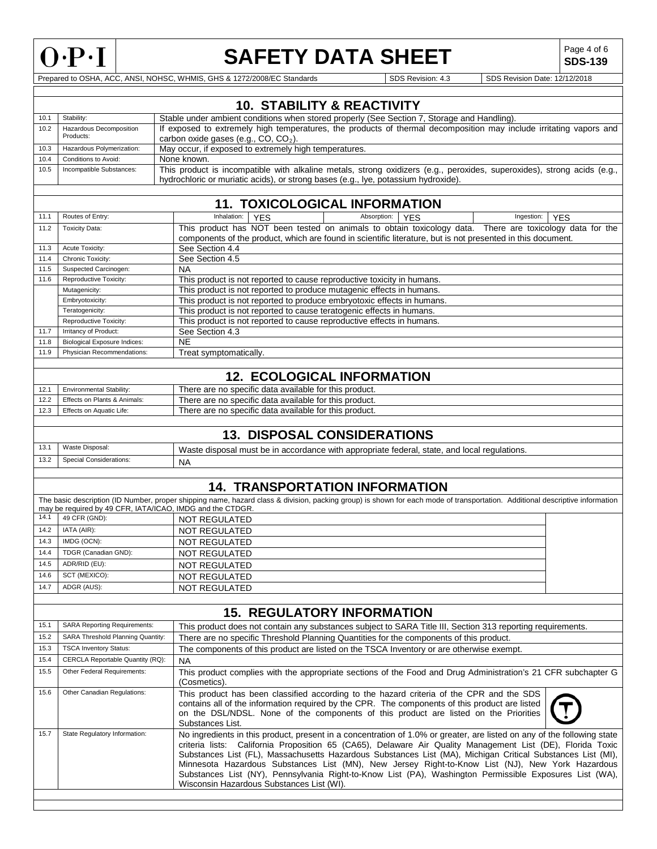

### **SAFETY DATA SHEET**

**SDS-139**

|      |                                                                                                                                                                                                                                           | <b>10. STABILITY &amp; REACTIVITY</b>                                                                                                                                                                                                                                                                                                                                                                                                                                                                                                                                                                            |  |  |  |  |  |  |  |
|------|-------------------------------------------------------------------------------------------------------------------------------------------------------------------------------------------------------------------------------------------|------------------------------------------------------------------------------------------------------------------------------------------------------------------------------------------------------------------------------------------------------------------------------------------------------------------------------------------------------------------------------------------------------------------------------------------------------------------------------------------------------------------------------------------------------------------------------------------------------------------|--|--|--|--|--|--|--|
| 10.1 | Stability:                                                                                                                                                                                                                                | Stable under ambient conditions when stored properly (See Section 7, Storage and Handling).                                                                                                                                                                                                                                                                                                                                                                                                                                                                                                                      |  |  |  |  |  |  |  |
| 10.2 | Hazardous Decomposition<br>Products:                                                                                                                                                                                                      | If exposed to extremely high temperatures, the products of thermal decomposition may include irritating vapors and<br>carbon oxide gases (e.g., CO, CO <sub>2</sub> ).                                                                                                                                                                                                                                                                                                                                                                                                                                           |  |  |  |  |  |  |  |
| 10.3 | Hazardous Polymerization:                                                                                                                                                                                                                 | May occur, if exposed to extremely high temperatures.                                                                                                                                                                                                                                                                                                                                                                                                                                                                                                                                                            |  |  |  |  |  |  |  |
| 10.4 | Conditions to Avoid:                                                                                                                                                                                                                      | None known.                                                                                                                                                                                                                                                                                                                                                                                                                                                                                                                                                                                                      |  |  |  |  |  |  |  |
| 10.5 | This product is incompatible with alkaline metals, strong oxidizers (e.g., peroxides, superoxides), strong acids (e.g.,<br>Incompatible Substances:<br>hydrochloric or muriatic acids), or strong bases (e.g., lye, potassium hydroxide). |                                                                                                                                                                                                                                                                                                                                                                                                                                                                                                                                                                                                                  |  |  |  |  |  |  |  |
|      |                                                                                                                                                                                                                                           |                                                                                                                                                                                                                                                                                                                                                                                                                                                                                                                                                                                                                  |  |  |  |  |  |  |  |
|      | 11. TOXICOLOGICAL INFORMATION                                                                                                                                                                                                             |                                                                                                                                                                                                                                                                                                                                                                                                                                                                                                                                                                                                                  |  |  |  |  |  |  |  |
| 11.1 | Routes of Entry:                                                                                                                                                                                                                          | Inhalation:<br><b>YES</b><br>Absorption:<br><b>YES</b><br>Ingestion:<br><b>YES</b>                                                                                                                                                                                                                                                                                                                                                                                                                                                                                                                               |  |  |  |  |  |  |  |
| 11.2 | <b>Toxicity Data:</b>                                                                                                                                                                                                                     | This product has NOT been tested on animals to obtain toxicology data. There are toxicology data for the<br>components of the product, which are found in scientific literature, but is not presented in this document.                                                                                                                                                                                                                                                                                                                                                                                          |  |  |  |  |  |  |  |
| 11.3 | Acute Toxicity:                                                                                                                                                                                                                           | See Section 4.4                                                                                                                                                                                                                                                                                                                                                                                                                                                                                                                                                                                                  |  |  |  |  |  |  |  |
| 11.4 | Chronic Toxicity:                                                                                                                                                                                                                         | See Section 4.5                                                                                                                                                                                                                                                                                                                                                                                                                                                                                                                                                                                                  |  |  |  |  |  |  |  |
| 11.5 | Suspected Carcinogen:                                                                                                                                                                                                                     | <b>NA</b>                                                                                                                                                                                                                                                                                                                                                                                                                                                                                                                                                                                                        |  |  |  |  |  |  |  |
| 11.6 | Reproductive Toxicity:                                                                                                                                                                                                                    | This product is not reported to cause reproductive toxicity in humans.                                                                                                                                                                                                                                                                                                                                                                                                                                                                                                                                           |  |  |  |  |  |  |  |
|      | Mutagenicity:                                                                                                                                                                                                                             | This product is not reported to produce mutagenic effects in humans.                                                                                                                                                                                                                                                                                                                                                                                                                                                                                                                                             |  |  |  |  |  |  |  |
|      | Embryotoxicity:                                                                                                                                                                                                                           | This product is not reported to produce embryotoxic effects in humans.                                                                                                                                                                                                                                                                                                                                                                                                                                                                                                                                           |  |  |  |  |  |  |  |
|      | Teratogenicity:                                                                                                                                                                                                                           | This product is not reported to cause teratogenic effects in humans.                                                                                                                                                                                                                                                                                                                                                                                                                                                                                                                                             |  |  |  |  |  |  |  |
|      | Reproductive Toxicity:                                                                                                                                                                                                                    | This product is not reported to cause reproductive effects in humans.                                                                                                                                                                                                                                                                                                                                                                                                                                                                                                                                            |  |  |  |  |  |  |  |
| 11.7 | Irritancy of Product:                                                                                                                                                                                                                     | See Section 4.3                                                                                                                                                                                                                                                                                                                                                                                                                                                                                                                                                                                                  |  |  |  |  |  |  |  |
| 11.8 | <b>Biological Exposure Indices:</b>                                                                                                                                                                                                       | <b>NE</b>                                                                                                                                                                                                                                                                                                                                                                                                                                                                                                                                                                                                        |  |  |  |  |  |  |  |
| 11.9 | Physician Recommendations:                                                                                                                                                                                                                | Treat symptomatically.                                                                                                                                                                                                                                                                                                                                                                                                                                                                                                                                                                                           |  |  |  |  |  |  |  |
|      |                                                                                                                                                                                                                                           | <b>12. ECOLOGICAL INFORMATION</b>                                                                                                                                                                                                                                                                                                                                                                                                                                                                                                                                                                                |  |  |  |  |  |  |  |
|      |                                                                                                                                                                                                                                           |                                                                                                                                                                                                                                                                                                                                                                                                                                                                                                                                                                                                                  |  |  |  |  |  |  |  |
| 12.1 | <b>Environmental Stability:</b>                                                                                                                                                                                                           | There are no specific data available for this product.                                                                                                                                                                                                                                                                                                                                                                                                                                                                                                                                                           |  |  |  |  |  |  |  |
| 12.2 | Effects on Plants & Animals:                                                                                                                                                                                                              | There are no specific data available for this product.                                                                                                                                                                                                                                                                                                                                                                                                                                                                                                                                                           |  |  |  |  |  |  |  |
| 12.3 | Effects on Aquatic Life:                                                                                                                                                                                                                  | There are no specific data available for this product.                                                                                                                                                                                                                                                                                                                                                                                                                                                                                                                                                           |  |  |  |  |  |  |  |
|      |                                                                                                                                                                                                                                           | <b>13. DISPOSAL CONSIDERATIONS</b>                                                                                                                                                                                                                                                                                                                                                                                                                                                                                                                                                                               |  |  |  |  |  |  |  |
| 13.1 | Waste Disposal:                                                                                                                                                                                                                           |                                                                                                                                                                                                                                                                                                                                                                                                                                                                                                                                                                                                                  |  |  |  |  |  |  |  |
|      |                                                                                                                                                                                                                                           | Waste disposal must be in accordance with appropriate federal, state, and local regulations.                                                                                                                                                                                                                                                                                                                                                                                                                                                                                                                     |  |  |  |  |  |  |  |
| 13.2 | <b>Special Considerations:</b>                                                                                                                                                                                                            | <b>NA</b>                                                                                                                                                                                                                                                                                                                                                                                                                                                                                                                                                                                                        |  |  |  |  |  |  |  |
|      |                                                                                                                                                                                                                                           |                                                                                                                                                                                                                                                                                                                                                                                                                                                                                                                                                                                                                  |  |  |  |  |  |  |  |
|      |                                                                                                                                                                                                                                           | <b>14. TRANSPORTATION INFORMATION</b>                                                                                                                                                                                                                                                                                                                                                                                                                                                                                                                                                                            |  |  |  |  |  |  |  |
|      | may be required by 49 CFR, IATA/ICAO, IMDG and the CTDGR.                                                                                                                                                                                 | The basic description (ID Number, proper shipping name, hazard class & division, packing group) is shown for each mode of transportation. Additional descriptive information                                                                                                                                                                                                                                                                                                                                                                                                                                     |  |  |  |  |  |  |  |
| 14.1 | 49 CFR (GND):                                                                                                                                                                                                                             | <b>NOT REGULATED</b>                                                                                                                                                                                                                                                                                                                                                                                                                                                                                                                                                                                             |  |  |  |  |  |  |  |
| 14.2 | IATA (AIR):                                                                                                                                                                                                                               | NOT REGULATED                                                                                                                                                                                                                                                                                                                                                                                                                                                                                                                                                                                                    |  |  |  |  |  |  |  |
| 14.3 | IMDG (OCN):                                                                                                                                                                                                                               | <b>NOT REGULATED</b>                                                                                                                                                                                                                                                                                                                                                                                                                                                                                                                                                                                             |  |  |  |  |  |  |  |
| 14.4 | TDGR (Canadian GND):                                                                                                                                                                                                                      | <b>NOT REGULATED</b>                                                                                                                                                                                                                                                                                                                                                                                                                                                                                                                                                                                             |  |  |  |  |  |  |  |
| 14.5 | ADR/RID (EU):                                                                                                                                                                                                                             |                                                                                                                                                                                                                                                                                                                                                                                                                                                                                                                                                                                                                  |  |  |  |  |  |  |  |
|      |                                                                                                                                                                                                                                           | <b>NOT REGULATED</b>                                                                                                                                                                                                                                                                                                                                                                                                                                                                                                                                                                                             |  |  |  |  |  |  |  |
| 14.6 | SCT (MEXICO):                                                                                                                                                                                                                             | NOT REGULATED                                                                                                                                                                                                                                                                                                                                                                                                                                                                                                                                                                                                    |  |  |  |  |  |  |  |
| 14.7 | ADGR (AUS):                                                                                                                                                                                                                               | NOT REGULATED                                                                                                                                                                                                                                                                                                                                                                                                                                                                                                                                                                                                    |  |  |  |  |  |  |  |
|      |                                                                                                                                                                                                                                           |                                                                                                                                                                                                                                                                                                                                                                                                                                                                                                                                                                                                                  |  |  |  |  |  |  |  |
|      |                                                                                                                                                                                                                                           | <b>15. REGULATORY INFORMATION</b>                                                                                                                                                                                                                                                                                                                                                                                                                                                                                                                                                                                |  |  |  |  |  |  |  |
| 15.1 | <b>SARA Reporting Requirements:</b>                                                                                                                                                                                                       | This product does not contain any substances subject to SARA Title III, Section 313 reporting requirements.                                                                                                                                                                                                                                                                                                                                                                                                                                                                                                      |  |  |  |  |  |  |  |
| 15.2 | SARA Threshold Planning Quantity:                                                                                                                                                                                                         | There are no specific Threshold Planning Quantities for the components of this product.                                                                                                                                                                                                                                                                                                                                                                                                                                                                                                                          |  |  |  |  |  |  |  |
| 15.3 | <b>TSCA Inventory Status:</b>                                                                                                                                                                                                             | The components of this product are listed on the TSCA Inventory or are otherwise exempt.                                                                                                                                                                                                                                                                                                                                                                                                                                                                                                                         |  |  |  |  |  |  |  |
| 15.4 | CERCLA Reportable Quantity (RQ):                                                                                                                                                                                                          | <b>NA</b>                                                                                                                                                                                                                                                                                                                                                                                                                                                                                                                                                                                                        |  |  |  |  |  |  |  |
| 15.5 | Other Federal Requirements:                                                                                                                                                                                                               | This product complies with the appropriate sections of the Food and Drug Administration's 21 CFR subchapter G<br>(Cosmetics).                                                                                                                                                                                                                                                                                                                                                                                                                                                                                    |  |  |  |  |  |  |  |
| 15.6 | Other Canadian Regulations:                                                                                                                                                                                                               | This product has been classified according to the hazard criteria of the CPR and the SDS<br>contains all of the information required by the CPR. The components of this product are listed<br>on the DSL/NDSL. None of the components of this product are listed on the Priorities<br>Substances List.                                                                                                                                                                                                                                                                                                           |  |  |  |  |  |  |  |
| 15.7 | State Regulatory Information:                                                                                                                                                                                                             | No ingredients in this product, present in a concentration of 1.0% or greater, are listed on any of the following state<br>criteria lists: California Proposition 65 (CA65), Delaware Air Quality Management List (DE), Florida Toxic<br>Substances List (FL), Massachusetts Hazardous Substances List (MA), Michigan Critical Substances List (MI),<br>Minnesota Hazardous Substances List (MN), New Jersey Right-to-Know List (NJ), New York Hazardous<br>Substances List (NY), Pennsylvania Right-to-Know List (PA), Washington Permissible Exposures List (WA),<br>Wisconsin Hazardous Substances List (WI). |  |  |  |  |  |  |  |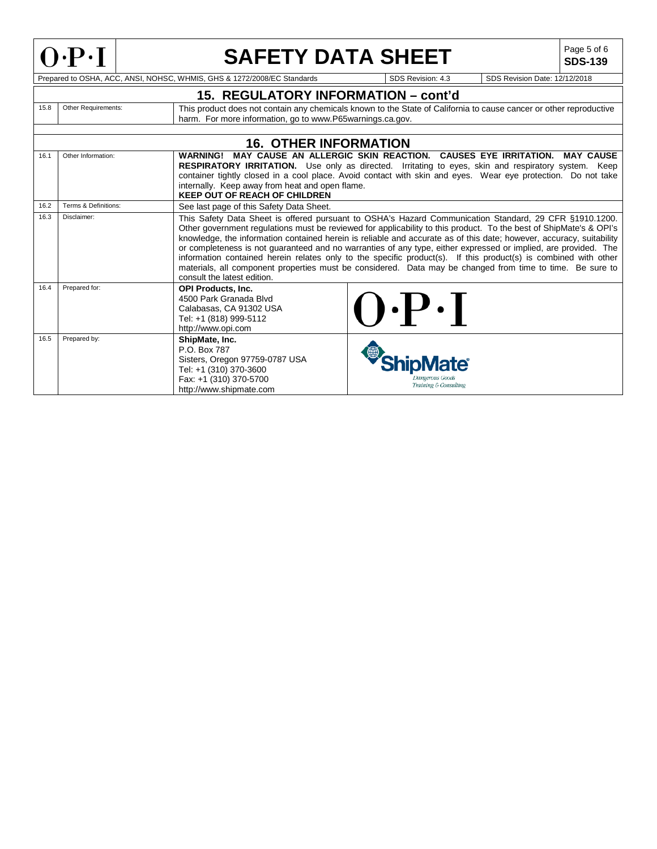

# **SAFETY DATA SHEET**  $\left|\begin{array}{c} \text{Page 5 of 6} \\ \text{SDS-139} \end{array}\right|$

**SDS-139**

|      |                      | 15. REGULATORY INFORMATION – cont'd                                                                                                             |                                                                                                                                                                                                                                                                                                                                                                                                                                                                                                                                                                                                                                                                                                         |
|------|----------------------|-------------------------------------------------------------------------------------------------------------------------------------------------|---------------------------------------------------------------------------------------------------------------------------------------------------------------------------------------------------------------------------------------------------------------------------------------------------------------------------------------------------------------------------------------------------------------------------------------------------------------------------------------------------------------------------------------------------------------------------------------------------------------------------------------------------------------------------------------------------------|
| 15.8 | Other Requirements:  | harm. For more information, go to www.P65warnings.ca.gov.                                                                                       | This product does not contain any chemicals known to the State of California to cause cancer or other reproductive                                                                                                                                                                                                                                                                                                                                                                                                                                                                                                                                                                                      |
|      |                      |                                                                                                                                                 |                                                                                                                                                                                                                                                                                                                                                                                                                                                                                                                                                                                                                                                                                                         |
|      |                      | <b>16. OTHER INFORMATION</b>                                                                                                                    |                                                                                                                                                                                                                                                                                                                                                                                                                                                                                                                                                                                                                                                                                                         |
| 16.1 | Other Information:   | <b>WARNING!</b><br>internally. Keep away from heat and open flame.<br><b>KEEP OUT OF REACH OF CHILDREN</b>                                      | MAY CAUSE AN ALLERGIC SKIN REACTION. CAUSES EYE IRRITATION. MAY CAUSE<br>RESPIRATORY IRRITATION. Use only as directed. Irritating to eyes, skin and respiratory system. Keep<br>container tightly closed in a cool place. Avoid contact with skin and eyes. Wear eye protection. Do not take                                                                                                                                                                                                                                                                                                                                                                                                            |
| 16.2 | Terms & Definitions: | See last page of this Safety Data Sheet.                                                                                                        |                                                                                                                                                                                                                                                                                                                                                                                                                                                                                                                                                                                                                                                                                                         |
| 16.3 | Disclaimer:          | consult the latest edition.                                                                                                                     | This Safety Data Sheet is offered pursuant to OSHA's Hazard Communication Standard, 29 CFR §1910.1200.<br>Other government regulations must be reviewed for applicability to this product. To the best of ShipMate's & OPI's<br>knowledge, the information contained herein is reliable and accurate as of this date; however, accuracy, suitability<br>or completeness is not guaranteed and no warranties of any type, either expressed or implied, are provided. The<br>information contained herein relates only to the specific product(s). If this product(s) is combined with other<br>materials, all component properties must be considered. Data may be changed from time to time. Be sure to |
| 16.4 | Prepared for:        | <b>OPI Products. Inc.</b><br>4500 Park Granada Blvd<br>Calabasas, CA 91302 USA<br>Tel: +1 (818) 999-5112<br>http://www.opi.com                  | $\boldsymbol{.} \boldsymbol{\mathsf{P}} \boldsymbol{.} \boldsymbol{\mathsf{I}}$                                                                                                                                                                                                                                                                                                                                                                                                                                                                                                                                                                                                                         |
| 16.5 | Prepared by:         | ShipMate, Inc.<br>P.O. Box 787<br>Sisters, Oregon 97759-0787 USA<br>Tel: +1 (310) 370-3600<br>Fax: +1 (310) 370-5700<br>http://www.shipmate.com | kangerous Goods<br>Training & Consulting                                                                                                                                                                                                                                                                                                                                                                                                                                                                                                                                                                                                                                                                |